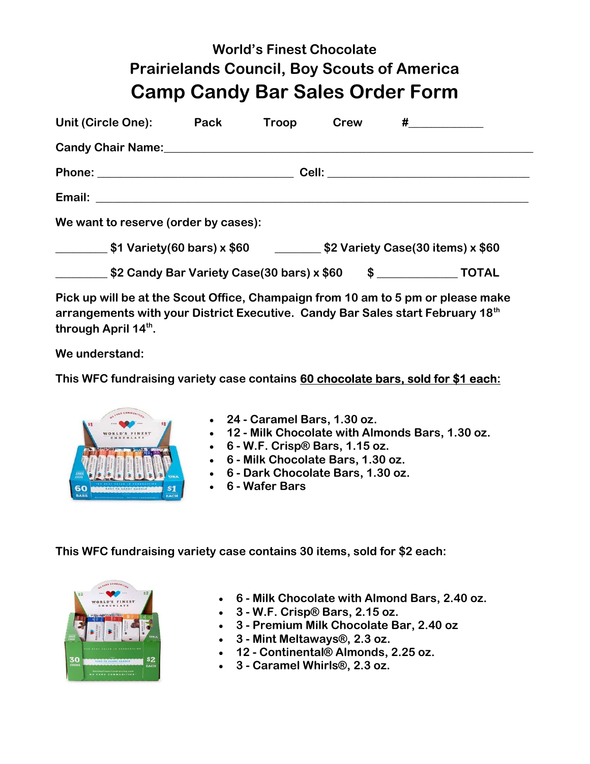## World's Finest Chocolate Prairielands Council, Boy Scouts of America Camp Candy Bar Sales Order Form

| Unit (Circle One):                                                                           | Pack | Troop | <b>Crew</b> | $\#$ and the set of $\#$ |  |
|----------------------------------------------------------------------------------------------|------|-------|-------------|--------------------------|--|
| Candy Chair Name: Candy Chair Name:                                                          |      |       |             |                          |  |
|                                                                                              |      |       |             |                          |  |
|                                                                                              |      |       |             |                          |  |
| We want to reserve (order by cases):                                                         |      |       |             |                          |  |
| $\frac{1}{2}$ \$1 Variety(60 bars) x \$60<br>$\frac{1}{2}$ \$2 Variety Case(30 items) x \$60 |      |       |             |                          |  |
| \$2 Candy Bar Variety Case(30 bars) x \$60                                                   |      |       |             | $$$ $TOTAL$              |  |

Pick up will be at the Scout Office, Champaign from 10 am to 5 pm or please make arrangements with your District Executive. Candy Bar Sales start February 18<sup>th</sup> through April 14<sup>th</sup>.

We understand:

This WFC fundraising variety case contains 60 chocolate bars, sold for \$1 each:



- 24 Caramel Bars, 1.30 oz.
- 12 Milk Chocolate with Almonds Bars, 1.30 oz.
- $\bullet$  6 W.F. Crisp® Bars, 1.15 oz.
- 6 Milk Chocolate Bars, 1.30 oz.
- 6 Dark Chocolate Bars, 1.30 oz.
- 6 Wafer Bars

This WFC fundraising variety case contains 30 items, sold for \$2 each:



- 6 Milk Chocolate with Almond Bars, 2.40 oz.
- 3 W.F. Crisp® Bars, 2.15 oz.
- 3 Premium Milk Chocolate Bar, 2.40 oz
- 3 Mint Meltaways®, 2.3 oz.
- 12 Continental® Almonds, 2.25 oz.
- 3 Caramel Whirls®, 2.3 oz.